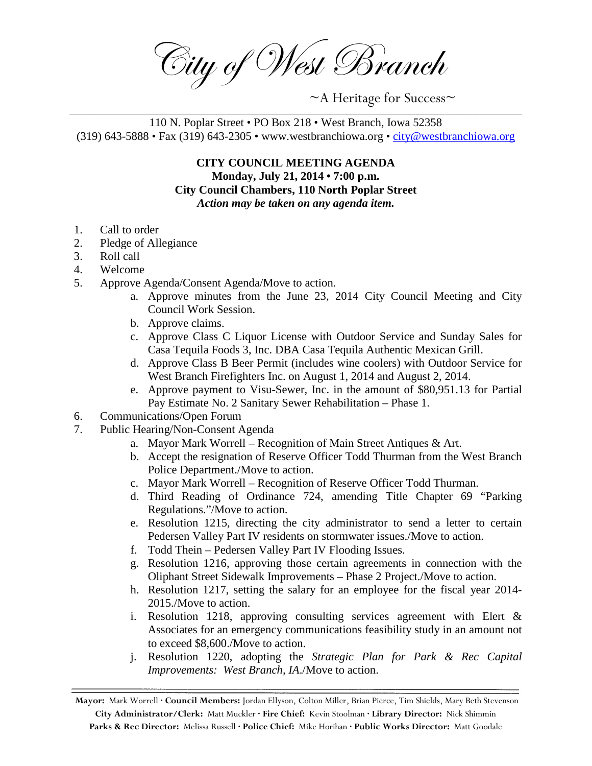City of West Branch

~A Heritage for Success~

## \_\_\_\_\_\_\_\_\_\_\_\_\_\_\_\_\_\_\_\_\_\_\_\_\_\_\_\_\_\_\_\_\_\_\_\_\_\_\_\_\_\_\_\_\_\_\_\_\_\_\_\_\_\_\_\_\_\_\_\_\_\_\_\_\_\_\_\_\_\_\_\_\_\_\_\_\_\_\_\_\_\_\_\_\_\_\_\_\_\_\_\_\_\_\_\_\_\_\_\_\_\_\_\_\_\_\_\_\_\_\_\_\_\_\_\_\_ 110 N. Poplar Street • PO Box 218 • West Branch, Iowa 52358 (319) 643-5888 • Fax (319) 643-2305 • www.westbranchiowa.org • [city@westbranchiowa.org](mailto:city@westbranchiowa.org)

**CITY COUNCIL MEETING AGENDA Monday, July 21, 2014 • 7:00 p.m. City Council Chambers, 110 North Poplar Street** *Action may be taken on any agenda item.*

- 1. Call to order
- 2. Pledge of Allegiance
- 3. Roll call
- 4. Welcome
- 5. Approve Agenda/Consent Agenda/Move to action.
	- a. Approve minutes from the June 23, 2014 City Council Meeting and City Council Work Session.
	- b. Approve claims.
	- c. Approve Class C Liquor License with Outdoor Service and Sunday Sales for Casa Tequila Foods 3, Inc. DBA Casa Tequila Authentic Mexican Grill.
	- d. Approve Class B Beer Permit (includes wine coolers) with Outdoor Service for West Branch Firefighters Inc. on August 1, 2014 and August 2, 2014.
	- e. Approve payment to Visu-Sewer, Inc. in the amount of \$80,951.13 for Partial Pay Estimate No. 2 Sanitary Sewer Rehabilitation – Phase 1.
- 6. Communications/Open Forum
- 7. Public Hearing/Non-Consent Agenda
	- a. Mayor Mark Worrell Recognition of Main Street Antiques & Art.
		- b. Accept the resignation of Reserve Officer Todd Thurman from the West Branch Police Department./Move to action.
		- c. Mayor Mark Worrell Recognition of Reserve Officer Todd Thurman.
		- d. Third Reading of Ordinance 724, amending Title Chapter 69 "Parking Regulations."/Move to action.
		- e. Resolution 1215, directing the city administrator to send a letter to certain Pedersen Valley Part IV residents on stormwater issues./Move to action.
		- f. Todd Thein Pedersen Valley Part IV Flooding Issues.
		- g. Resolution 1216, approving those certain agreements in connection with the Oliphant Street Sidewalk Improvements – Phase 2 Project./Move to action.
		- h. Resolution 1217, setting the salary for an employee for the fiscal year 2014- 2015./Move to action.
		- i. Resolution 1218, approving consulting services agreement with Elert & Associates for an emergency communications feasibility study in an amount not to exceed \$8,600./Move to action.
		- j. Resolution 1220, adopting the *Strategic Plan for Park & Rec Capital Improvements: West Branch, IA*./Move to action.

**Mayor:** Mark Worrell **· Council Members:** Jordan Ellyson, Colton Miller, Brian Pierce, Tim Shields, Mary Beth Stevenson **City Administrator/Clerk:** Matt Muckler **· Fire Chief:** Kevin Stoolman **· Library Director:** Nick Shimmin **Parks & Rec Director:** Melissa Russell **· Police Chief:** Mike Horihan **· Public Works Director:** Matt Goodale